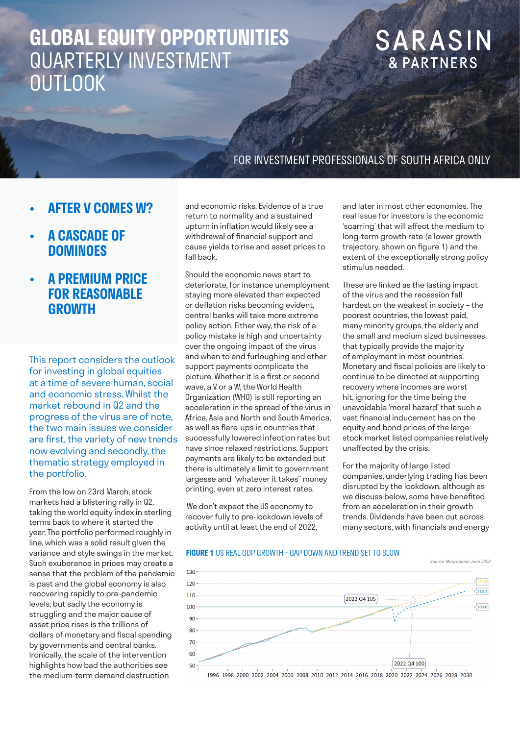# **GLOBAL EQUITY OPPORTUNITIES** QUARTERLY INVESTMENT **OUTLOOK**

# SARASIN **& PARTNERS**

### FOR INVESTMENT PROFESSIONALS OF SOUTH AFRICA ONLY

- **• AFTER V COMES W?**
- **• A CASCADE OF DOMINOES**
- **• A PREMIUM PRICE FOR REASONABLE GROWTH**

This report considers the outlook for investing in global equities at a time of severe human, social and economic stress. Whilst the market rebound in Q2 and the progress of the virus are of note, the two main issues we consider are first, the variety of new trends now evolving and secondly, the thematic strategy employed in the portfolio.

From the low on 23rd March, stock markets had a blistering rally in Q2, taking the world equity index in sterling terms back to where it started the year. The portfolio performed roughly in line, which was a solid result given the variance and style swings in the market. Such exuberance in prices may create a sense that the problem of the pandemic is past and the global economy is also recovering rapidly to pre-pandemic levels; but sadly the economy is struggling and the major cause of asset price rises is the trillions of dollars of monetary and fiscal spending by governments and central banks. Ironically, the scale of the intervention highlights how bad the authorities see the medium-term demand destruction

and economic risks. Evidence of a true return to normality and a sustained upturn in inflation would likely see a withdrawal of financial support and cause yields to rise and asset prices to fall back.

Should the economic news start to deteriorate, for instance unemployment staying more elevated than expected or deflation risks becoming evident, central banks will take more extreme policy action. Either way, the risk of a policy mistake is high and uncertainty over the ongoing impact of the virus and when to end furloughing and other support payments complicate the picture. Whether it is a first or second wave, a V or a W, the World Health Organization (WHO) is still reporting an acceleration in the spread of the virus in Africa, Asia and North and South America, as well as flare-ups in countries that successfully lowered infection rates but have since relaxed restrictions. Support payments are likely to be extended but there is ultimately a limit to government largesse and "whatever it takes" money printing, even at zero interest rates.

 We don't expect the US economy to recover fully to pre-lockdown levels of activity until at least the end of 2022,

and later in most other economies. The real issue for investors is the economic 'scarring' that will affect the medium to long-term growth rate (a lower growth trajectory, shown on figure 1) and the extent of the exceptionally strong policy stimulus needed.

These are linked as the lasting impact of the virus and the recession fall hardest on the weakest in society – the poorest countries, the lowest paid, many minority groups, the elderly and the small and medium sized businesses that typically provide the majority of employment in most countries. Monetary and fiscal policies are likely to continue to be directed at supporting recovery where incomes are worst hit, ignoring for the time being the unavoidable 'moral hazard' that such a vast financial inducement has on the equity and bond prices of the large stock market listed companies relatively unaffected by the crisis.

For the majority of large listed companies, underlying trading has been disrupted by the lockdown, although as we discuss below, some have benefited from an acceleration in their growth trends. Dividends have been cut across many sectors, with financials and energy

*Source: Macrobond, June 2020*

#### **FIGURE 1** US REAL GDP GROWTH - GAP DOWN AND TREND SET TO SLOW



1996 1998 2000 2002 2004 2006 2008 2010 2012 2014 2016 2018 2020 2022 2024 2026 2028 2030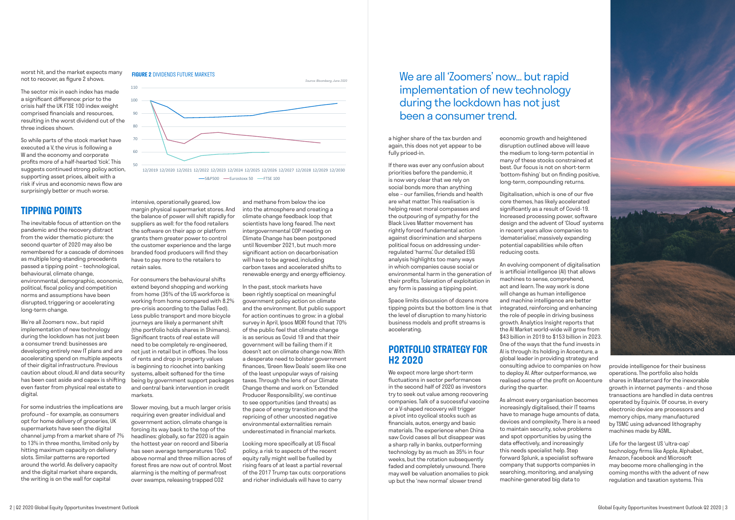worst hit, and the market expects many not to recover, as figure 2 shows.

The sector mix in each index has made a significant difference: prior to the crisis half the UK FTSE 100 index weight comprised financials and resources, resulting in the worst dividend cut of the three indices shown.

So while parts of the stock market have executed a V, the virus is following a W and the economy and corporate profits more of a half-hearted 'tick'. This suggests continued strong policy action, supporting asset prices, albeit with a risk if virus and economic news flow are surprisingly better or much worse.

We're all Zoomers now… but rapid implementation of new technology during the lockdown has not just been a consumer trend: businesses are developing entirely new IT plans and are accelerating spend on multiple aspects of their digital infrastructure. Previous caution about cloud, AI and data security has been cast aside and capex is shifting even faster from physical real estate to digital.

### **TIPPING POINTS**

The inevitable focus of attention on the pandemic and the recovery distract from the wider thematic picture: the second quarter of 2020 may also be remembered for a cascade of dominoes as multiple long-standing precedents passed a tipping point – technological, behavioural, climate change, environmental, demographic, economic, political, fiscal policy and competition norms and assumptions have been disrupted, triggering or accelerating long-term change.

For some industries the implications are profound – for example, as consumers opt for home delivery of groceries, UK supermarkets have seen the digital channel jump from a market share of 7% to 13% in three months, limited only by hitting maximum capacity on delivery slots. Similar patterns are reported around the world. As delivery capacity and the digital market share expands, the writing is on the wall for capital

a higher share of the tax burden and again, this does not yet appear to be fully priced-in.

If there was ever any confusion about priorities before the pandemic, it is now very clear that we rely on social bonds more than anything else – our families, friends and health are what matter. This realisation is helping reset moral compasses and the outpouring of sympathy for the Black Lives Matter movement has rightly forced fundamental action against discrimination and sharpens political focus on addressing underregulated 'harms'. Our detailed ESG analysis highlights too many ways in which companies cause social or environmental harm in the generation of their profits. Toleration of exploitation in any form is passing a tipping point.

Space limits discussion of dozens more tipping points but the bottom line is that the level of disruption to many historic business models and profit streams is accelerating.

### **PORTFOLIO STRATEGY FOR H2 2020**

We expect more large short-term fluctuations in sector performances in the second half of 2020 as investors try to seek out value among recovering companies. Talk of a successful vaccine or a V-shaped recovery will trigger a pivot into cyclical stocks such as financials, autos, energy and basic materials. The experience when China saw Covid cases all but disappear was a sharp rally in banks, outperforming technology by as much as 35% in four weeks, but the rotation subsequently faded and completely unwound. There may well be valuation anomalies to pick up but the 'new normal' slower trend

economic growth and heightened disruption outlined above will leave the medium to long-term potential in many of these stocks constrained at best. Our focus is not on short-term 'bottom-fishing' but on finding positive, long-term, compounding returns.

Digitalisation, which is one of our five core themes, has likely accelerated significantly as a result of Covid-19. Increased processing power, software design and the advent of 'Cloud' systems in recent years allow companies to 'dematerialise', massively expanding potential capabilities while often reducing costs.

An evolving component of digitalisation is artificial intelligence (AI) that allows machines to sense, comprehend, act and learn. The way work is done will change as human intelligence and machine intelligence are better integrated, reinforcing and enhancing the role of people in driving business growth. Analytics Insight reports that the AI Market world-wide will grow from \$43 billion in 2019 to \$153 billion in 2023. One of the ways that the fund invests in AI is through its holding in Accenture, a global leader in providing strategy and consulting advice to companies on how to deploy AI. After outperformance, we realised some of the profit on Accenture during the quarter.

As almost every organisation becomes increasingly digitalised, their IT teams have to manage huge amounts of data, devices and complexity. There is a need to maintain security, solve problems and spot opportunities by using the data effectively, and increasingly this needs specialist help. Step forward Splunk, a specialist software company that supports companies in searching, monitoring, and analysing machine-generated big data to





#### **FIGURE 2** DIVIDENDS FUTURE MARKETS

intensive, operationally geared, low margin physical supermarket stores. And the balance of power will shift rapidly for suppliers as well: for the food retailers the software on their app or platform grants them greater power to control the customer experience and the large branded food producers will find they have to pay more to the retailers to retain sales.

For consumers the behavioural shifts extend beyond shopping and working from home (35% of the US workforce is working from home compared with 8.2% pre-crisis according to the Dallas Fed). Less public transport and more bicycle journeys are likely a permanent shift (the portfolio holds shares in Shimano). Significant tracts of real estate will need to be completely re-engineered, not just in retail but in offices. The loss of rents and drop in property values is beginning to ricochet into banking systems, albeit softened for the time being by government support packages and central bank intervention in credit markets.

Slower moving, but a much larger crisis requiring even greater individual and government action, climate change is forcing its way back to the top of the headlines: globally, so far 2020 is again the hottest year on record and Siberia has seen average temperatures 10oC above normal and three million acres of forest fires are now out of control. Most alarming is the melting of permafrost over swamps, releasing trapped CO2

and methane from below the ice into the atmosphere and creating a climate change feedback loop that scientists have long feared. The next intergovernmental COP meeting on Climate Change has been postponed until November 2021, but much more significant action on decarbonisation will have to be agreed, including carbon taxes and accelerated shifts to renewable energy and energy efficiency.

In the past, stock markets have been rightly sceptical on meaningful government policy action on climate and the environment. But public support for action continues to grow: in a global survey in April, Ipsos MORI found that 70% of the public feel that climate change is as serious as Covid 19 and that their government will be failing them if it doesn't act on climate change now. With a desperate need to bolster government finances, 'Green New Deals' seem like one of the least unpopular ways of raising taxes. Through the lens of our Climate Change theme and work on 'Extended Producer Responsibility', we continue to see opportunities (and threats) as the pace of energy transition and the repricing of other uncosted negative environmental externalities remain underestimated in financial markets.

Looking more specifically at US fiscal policy, a risk to aspects of the recent equity rally might well be fuelled by rising fears of at least a partial reversal of the 2017 Trump tax cuts: corporations and richer individuals will have to carry

provide intelligence for their business operations. The portfolio also holds shares in Mastercard for the inexorable growth in internet payments - and those transactions are handled in data centres operated by Equinix. Of course, in every electronic device are processors and memory chips, many manufactured by TSMC using advanced lithography machines made by ASML.

Life for the largest US 'ultra-cap' technology firms like Apple, Alphabet, Amazon, Facebook and Microsoft may become more challenging in the coming months with the advent of new regulation and taxation systems. This

### We are all 'Zoomers' now… but rapid implementation of new technology during the lockdown has not just been a consumer trend.